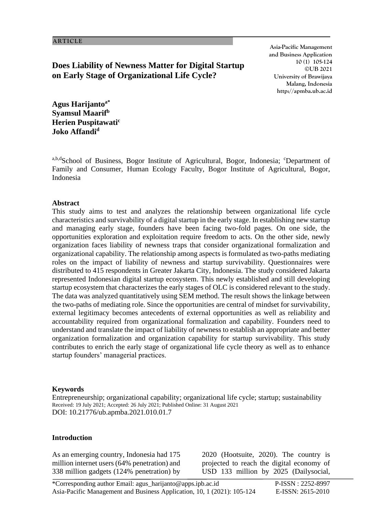**Does Liability of Newness Matter for Digital Startup on Early Stage of Organizational Life Cycle?**

**Asia-Pacific Management and Business Application 10 (1) 105-124 ©UB 2021 University of Brawijaya Malang, Indonesia http://apmba.ub.ac.id**

**Agus Harijantoa\* Syamsul Maarif<sup>b</sup> Herien Puspitawati<sup>c</sup> Joko Affandi<sup>d</sup>**

a,b,dSchool of Business, Bogor Institute of Agricultural, Bogor, Indonesia; <sup>c</sup>Department of Family and Consumer, Human Ecology Faculty, Bogor Institute of Agricultural, Bogor, Indonesia

### **Abstract**

This study aims to test and analyzes the relationship between organizational life cycle characteristics and survivability of a digital startup in the early stage. In establishing new startup and managing early stage, founders have been facing two-fold pages. On one side, the opportunities exploration and exploitation require freedom to acts. On the other side, newly organization faces liability of newness traps that consider organizational formalization and organizational capability. The relationship among aspects is formulated as two-paths mediating roles on the impact of liability of newness and startup survivability. Questionnaires were distributed to 415 respondents in Greater Jakarta City, Indonesia. The study considered Jakarta represented Indonesian digital startup ecosystem. This newly established and still developing startup ecosystem that characterizes the early stages of OLC is considered relevant to the study. The data was analyzed quantitatively using SEM method. The result shows the linkage between the two-paths of mediating role. Since the opportunities are central of mindset for survivability, external legitimacy becomes antecedents of external opportunities as well as reliability and accountability required from organizational formalization and capability. Founders need to understand and translate the impact of liability of newness to establish an appropriate and better organization formalization and organization capability for startup survivability. This study contributes to enrich the early stage of organizational life cycle theory as well as to enhance startup founders' managerial practices.

### **Keywords**

Entrepreneurship; organizational capability; organizational life cycle; startup; sustainability Received: 19 July 2021; Accepted: 26 July 2021; Published Online: 31 August 2021 DOI: 10.21776/ub.apmba.2021.010.01.7

## **Introduction**

As an emerging country, Indonesia had 175 million internet users (64% penetration) and 338 million gadgets (124% penetration) by

2020 (Hootsuite, 2020). The country is projected to reach the digital economy of USD 133 million by 2025 (Dailysocial,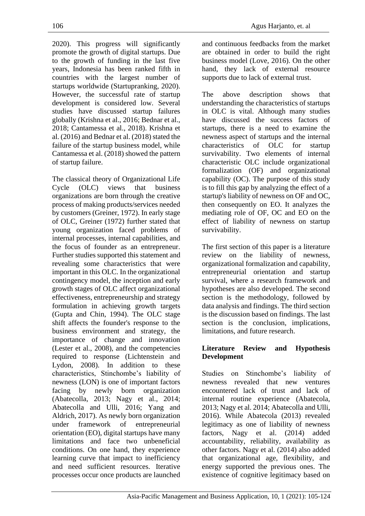2020). This progress will significantly promote the growth of digital startups. Due to the growth of funding in the last five years, Indonesia has been ranked fifth in countries with the largest number of startups worldwide (Startupranking, 2020). However, the successful rate of startup development is considered low. Several studies have discussed startup failures globally (Krishna et al., 2016; Bednar et al., 2018; Cantamessa et al., 2018). Krishna et al. (2016) and Bednar et al. (2018) stated the failure of the startup business model, while Cantamessa et al. (2018) showed the pattern of startup failure.

The classical theory of Organizational Life Cycle (OLC) views that business organizations are born through the creative process of making products/services needed by customers (Greiner, 1972). In early stage of OLC, Greiner (1972) further stated that young organization faced problems of internal processes, internal capabilities, and the focus of founder as an entrepreneur. Further studies supported this statement and revealing some characteristics that were important in this OLC. In the organizational contingency model, the inception and early growth stages of OLC affect organizational effectiveness, entrepreneurship and strategy formulation in achieving growth targets (Gupta and Chin, 1994). The OLC stage shift affects the founder's response to the business environment and strategy, the importance of change and innovation (Lester et al., 2008), and the competencies required to response (Lichtenstein and Lydon, 2008). In addition to these characteristics, Stinchombe's liability of newness (LON) is one of important factors facing by newly born organization (Abatecolla, 2013; Nagy et al., 2014; Abatecolla and Ulli, 2016; Yang and Aldrich, 2017). As newly born organization under framework of entrepreneurial orientation (EO), digital startups have many limitations and face two unbeneficial conditions. On one hand, they experience learning curve that impact to inefficiency and need sufficient resources. Iterative processes occur once products are launched and continuous feedbacks from the market are obtained in order to build the right business model (Love, 2016). On the other hand, they lack of external resource supports due to lack of external trust.

The above description shows that understanding the characteristics of startups in OLC is vital. Although many studies have discussed the success factors of startups, there is a need to examine the newness aspect of startups and the internal characteristics of OLC for startup survivability. Two elements of internal characteristic OLC include organizational formalization (OF) and organizational capability (OC). The purpose of this study is to fill this gap by analyzing the effect of a startup's liability of newness on OF and OC, then consequently on EO. It analyzes the mediating role of OF, OC and EO on the effect of liability of newness on startup survivability.

The first section of this paper is a literature review on the liability of newness, organizational formalization and capability, entrepreneurial orientation and startup survival, where a research framework and hypotheses are also developed. The second section is the methodology, followed by data analysis and findings. The third section is the discussion based on findings. The last section is the conclusion, implications, limitations, and future research.

## **Literature Review and Hypothesis Development**

Studies on Stinchombe's liability of newness revealed that new ventures encountered lack of trust and lack of internal routine experience (Abatecola, 2013; Nagy et al. 2014; Abatecolla and Ulli, 2016). While Abatecola (2013) revealed legitimacy as one of liability of newness factors, Nagy et al. (2014) added accountability, reliability, availability as other factors. Nagy et al. (2014) also added that organizational age, flexibility, and energy supported the previous ones. The existence of cognitive legitimacy based on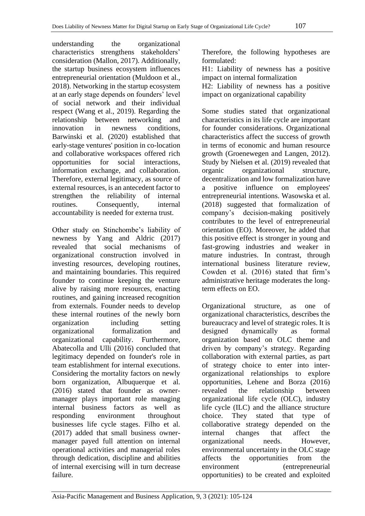understanding the organizational characteristics strengthens stakeholders' consideration (Mallon, 2017). Additionally, the startup business ecosystem influences entrepreneurial orientation (Muldoon et al., 2018). Networking in the startup ecosystem at an early stage depends on founders' level of social network and their individual respect (Wang et al., 2019). Regarding the relationship between networking and innovation in newness conditions, Barwinski et al. (2020) established that early-stage ventures' position in co-location and collaborative workspaces offered rich opportunities for social interactions, information exchange, and collaboration. Therefore, external legitimacy, as source of external resources, is an antecedent factor to strengthen the reliability of internal routines. Consequently, internal accountability is needed for externa trust.

Other study on Stinchombe's liability of newness by Yang and Aldric (2017) revealed that social mechanisms of organizational construction involved in investing resources, developing routines, and maintaining boundaries. This required founder to continue keeping the venture alive by raising more resources, enacting routines, and gaining increased recognition from externals. Founder needs to develop these internal routines of the newly born organization including setting organizational formalization and organizational capability. Furthermore, Abatecolla and Ulli (2016) concluded that legitimacy depended on founder's role in team establishment for internal executions. Considering the mortality factors on newly born organization, Albuquerque et al. (2016) stated that founder as ownermanager plays important role managing internal business factors as well as responding environment throughout businesses life cycle stages. Filho et al. (2017) added that small business ownermanager payed full attention on internal operational activities and managerial roles through dedication, discipline and abilities of internal exercising will in turn decrease failure.

Therefore, the following hypotheses are formulated:

H1: Liability of newness has a positive impact on internal formalization

H2: Liability of newness has a positive impact on organizational capability

Some studies stated that organizational characteristics in its life cycle are important for founder considerations. Organizational characteristics affect the success of growth in terms of economic and human resource growth (Groenewegen and Langen, 2012). Study by Nielsen et al. (2019) revealed that organic organizational structure, decentralization and low formalization have a positive influence on employees' entrepreneurial intentions. Wasowska et al. (2018) suggested that formalization of company's decision-making positively contributes to the level of entrepreneurial orientation (EO). Moreover, he added that this positive effect is stronger in young and fast-growing industries and weaker in mature industries. In contrast, through international business literature review, Cowden et al. (2016) stated that firm's administrative heritage moderates the longterm effects on EO.

Organizational structure, as one of organizational characteristics, describes the bureaucracy and level of strategic roles. It is designed dynamically as formal organization based on OLC theme and driven by company's strategy. Regarding collaboration with external parties, as part of strategy choice to enter into interorganizational relationships to explore opportunities, Lehene and Borza (2016) revealed the relationship between organizational life cycle (OLC), industry life cycle (ILC) and the alliance structure choice. They stated that type of collaborative strategy depended on the internal changes that affect the organizational needs. However, environmental uncertainty in the OLC stage affects the opportunities from the environment (entrepreneurial opportunities) to be created and exploited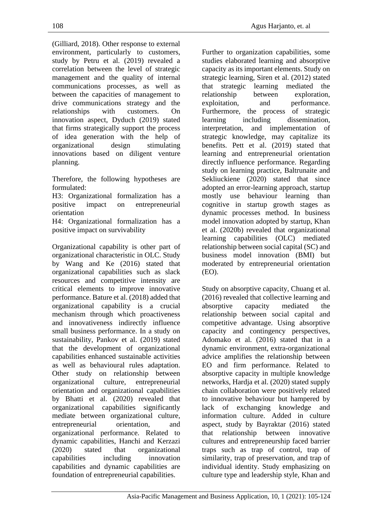(Gilliard, 2018). Other response to external environment, particularly to customers, study by Petru et al. (2019) revealed a correlation between the level of strategic management and the quality of internal communications processes, as well as between the capacities of management to drive communications strategy and the relationships with customers. On innovation aspect, Dyduch (2019) stated that firms strategically support the process of idea generation with the help of organizational design stimulating innovations based on diligent venture planning.

Therefore, the following hypotheses are formulated:

H3: Organizational formalization has a positive impact on entrepreneurial orientation

H4: Organizational formalization has a positive impact on survivability

Organizational capability is other part of organizational characteristic in OLC. Study by Wang and Ke (2016) stated that organizational capabilities such as slack resources and competitive intensity are critical elements to improve innovative performance. Bature et al. (2018) added that organizational capability is a crucial mechanism through which proactiveness and innovativeness indirectly influence small business performance. In a study on sustainability, Pankov et al. (2019) stated that the development of organizational capabilities enhanced sustainable activities as well as behavioural rules adaptation. Other study on relationship between organizational culture, entrepreneurial orientation and organizational capabilities by Bhatti et al. (2020) revealed that organizational capabilities significantly mediate between organizational culture, entrepreneurial orientation, and organizational performance. Related to dynamic capabilities, Hanchi and Kerzazi (2020) stated that organizational capabilities including innovation capabilities and dynamic capabilities are foundation of entrepreneurial capabilities.

Further to organization capabilities, some studies elaborated learning and absorptive capacity as its important elements. Study on strategic learning, Siren et al. (2012) stated that strategic learning mediated the relationship between exploration, exploitation, and performance. Furthermore, the process of strategic learning including dissemination, interpretation, and implementation of strategic knowledge, may capitalize its benefits. Pett et al. (2019) stated that learning and entrepreneurial orientation directly influence performance. Regarding study on learning practice, Baltrunaite and Sekliuckiene (2020) stated that since adopted an error-learning approach, startup mostly use behaviour learning than cognitive in startup growth stages as dynamic processes method. In business model innovation adopted by startup, Khan et al. (2020b) revealed that organizational learning capabilities (OLC) mediated relationship between social capital (SC) and business model innovation (BMI) but moderated by entrepreneurial orientation (EO).

Study on absorptive capacity, Chuang et al. (2016) revealed that collective learning and absorptive capacity mediated the relationship between social capital and competitive advantage. Using absorptive capacity and contingency perspectives, Adomako et al. (2016) stated that in a dynamic environment, extra-organizational advice amplifies the relationship between EO and firm performance. Related to absorptive capacity in multiple knowledge networks, Hardja et al. (2020) stated supply chain collaboration were positively related to innovative behaviour but hampered by lack of exchanging knowledge and information culture. Added in culture aspect, study by Bayraktar (2016) stated that relationship between innovative cultures and entrepreneurship faced barrier traps such as trap of control, trap of similarity, trap of preservation, and trap of individual identity. Study emphasizing on culture type and leadership style, Khan and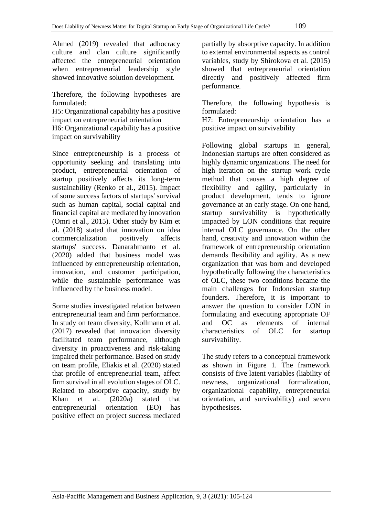Ahmed (2019) revealed that adhocracy culture and clan culture significantly affected the entrepreneurial orientation when entrepreneurial leadership style showed innovative solution development.

Therefore, the following hypotheses are formulated:

H5: Organizational capability has a positive impact on entrepreneurial orientation

H6: Organizational capability has a positive impact on survivability

Since entrepreneurship is a process of opportunity seeking and translating into product, entrepreneurial orientation of startup positively affects its long-term sustainability (Renko et al., 2015). Impact of some success factors of startups' survival such as human capital, social capital and financial capital are mediated by innovation (Omri et al., 2015). Other study by Kim et al. (2018) stated that innovation on idea commercialization positively affects startups' success. Danarahmanto et al. (2020) added that business model was influenced by entrepreneurship orientation, innovation, and customer participation, while the sustainable performance was influenced by the business model.

Some studies investigated relation between entrepreneurial team and firm performance. In study on team diversity, Kollmann et al. (2017) revealed that innovation diversity facilitated team performance, although diversity in proactiveness and risk-taking impaired their performance. Based on study on team profile, Eliakis et al. (2020) stated that profile of entrepreneurial team, affect firm survival in all evolution stages of OLC. Related to absorptive capacity, study by Khan et al. (2020a) stated that entrepreneurial orientation (EO) has positive effect on project success mediated

partially by absorptive capacity. In addition to external environmental aspects as control variables, study by Shirokova et al. (2015) showed that entrepreneurial orientation directly and positively affected firm performance.

Therefore, the following hypothesis is formulated:

H7: Entrepreneurship orientation has a positive impact on survivability

Following global startups in general, Indonesian startups are often considered as highly dynamic organizations. The need for high iteration on the startup work cycle method that causes a high degree of flexibility and agility, particularly in product development, tends to ignore governance at an early stage. On one hand, startup survivability is hypothetically impacted by LON conditions that require internal OLC governance. On the other hand, creativity and innovation within the framework of entrepreneurship orientation demands flexibility and agility. As a new organization that was born and developed hypothetically following the characteristics of OLC, these two conditions became the main challenges for Indonesian startup founders. Therefore, it is important to answer the question to consider LON in formulating and executing appropriate OF and OC as elements of internal characteristics of OLC for startup survivability.

The study refers to a conceptual framework as shown in Figure 1. The framework consists of five latent variables (liability of newness, organizational formalization, organizational capability, entrepreneurial orientation, and survivability) and seven hypothesises.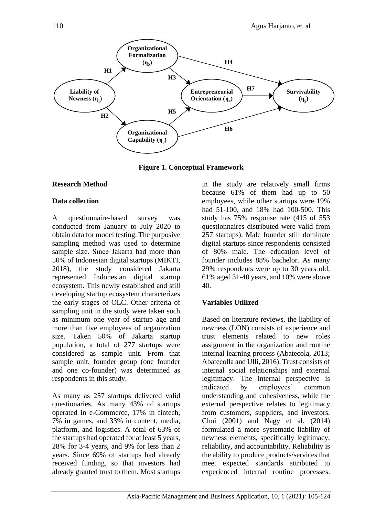

**Figure 1. Conceptual Framework**

# **Research Method**

# **Data collection**

A questionnaire-based survey was conducted from January to July 2020 to obtain data for model testing. The purposive sampling method was used to determine sample size. Sınce Jakarta had more than 50% of Indonesian digital startups (MIKTI, 2018), the study considered Jakarta represented Indonesian digital startup ecosystem. This newly established and still developing startup ecosystem characterizes the early stages of OLC. Other criteria of sampling unit in the study were taken such as minimum one year of startup age and more than five employees of organization size. Taken 50% of Jakarta startup population, a total of 277 startups were considered as sample unit. From that sample unit, founder group (one founder and one co-founder) was determined as respondents in this study.

As many as 257 startups delivered valid questionaries. As many 43% of startups operated in e-Commerce, 17% in fintech, 7% in games, and 33% in content, media, platform, and logistics. A total of 63% of the startups had operated for at least 5 years, 28% for 3-4 years, and 9% for less than 2 years. Since 69% of startups had already received funding, so that investors had already granted trust to them. Most startups in the study are relatively small firms because 61% of them had up to 50 employees, while other startups were 19% had 51-100, and 18% had 100-500. This study has 75% response rate (415 of 553 questionnaires distributed were valid from 257 startups). Male founder still dominate digital startups since respondents consisted of 80% male. The education level of founder includes 88% bachelor. As many 29% respondents were up to 30 years old, 61% aged 31-40 years, and 10% were above 40.

# **Variables Utilized**

Based on literature reviews, the liability of newness (LON) consists of experience and trust elements related to new roles assignment in the organization and routine internal learning process (Abatecola, 2013; Abatecolla and Ulli, 2016). Trust consists of internal social relationships and external legitimacy. The internal perspective is indicated by employees' common understanding and cohesiveness, while the external perspective relates to legitimacy from customers, suppliers, and investors. Choi (2001) and Nagy et al. (2014) formulated a more systematic liability of newness elements, specifically legitimacy, reliability, and accountability. Reliability is the ability to produce products/services that meet expected standards attributed to experienced internal routine processes.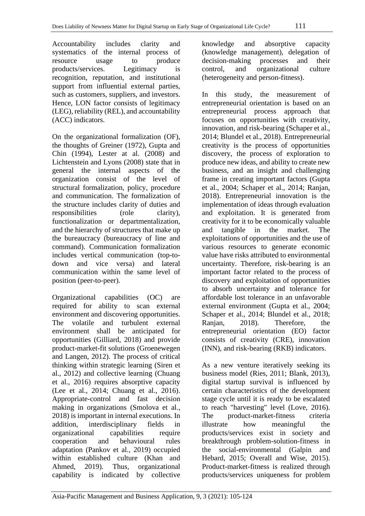Accountability includes clarity and systematics of the internal process of resource usage to produce products/services. Legitimacy is recognition, reputation, and institutional support from influential external parties, such as customers, suppliers, and investors. Hence, LON factor consists of legitimacy (LEG), reliability (REL), and accountability (ACC) indicators.

On the organizational formalization (OF), the thoughts of Greiner (1972), Gupta and Chin (1994), Lester at al. (2008) and Lichtenstein and Lyons (2008) state that in general the internal aspects of the organization consist of the level of structural formalization, policy, procedure and communication. The formalization of the structure includes clarity of duties and responsibilities (role clarity), functionalization or departmentalization, and the hierarchy of structures that make up the bureaucracy (bureaucracy of line and command). Communication formalization includes vertical communication (top-todown and vice versa) and lateral communication within the same level of position (peer-to-peer).

Organizational capabilities (OC) are required for ability to scan external environment and discovering opportunities. The volatile and turbulent external environment shall be anticipated for opportunities (Gilliard, 2018) and provide product-market-fit solutions (Groenewegen and Langen, 2012). The process of critical thinking within strategic learning (Siren et al., 2012) and collective learning (Chuang et al., 2016) requires absorptive capacity (Lee et al., 2014; Chuang et al., 2016). Appropriate-control and fast decision making in organizations (Smolova et al., 2018) is important in internal executions. In addition, interdisciplinary fields in organizational capabilities require cooperation and behavioural rules adaptation (Pankov et al., 2019) occupied within established culture (Khan and Ahmed, 2019). Thus, organizational capability is indicated by collective

knowledge and absorptive capacity (knowledge management), delegation of decision-making processes and their control, and organizational culture (heterogeneity and person-fitness).

In this study, the measurement of entrepreneurial orientation is based on an entrepreneurial process approach that focuses on opportunities with creativity, innovation, and risk-bearing (Schaper et al., 2014; Blundel et al., 2018). Entrepreneurial creativity is the process of opportunities discovery, the process of exploration to produce new ideas, and ability to create new business, and an insight and challenging frame in creating important factors (Gupta et al., 2004; Schaper et al., 2014; Ranjan, 2018). Entrepreneurial innovation is the implementation of ideas through evaluation and exploitation. It is generated from creativity for it to be economically valuable and tangible in the market. The exploitations of opportunities and the use of various resources to generate economic value have risks attributed to environmental uncertainty. Therefore, risk-bearing is an important factor related to the process of discovery and exploitation of opportunities to absorb uncertainty and tolerance for affordable lost tolerance in an unfavorable external environment (Gupta et al., 2004; Schaper et al., 2014; Blundel et al., 2018; Ranjan, 2018). Therefore, the entrepreneurial orientation (EO) factor consists of creativity (CRE), innovation (INN), and risk-bearing (RKB) indicators.

As a new venture iteratively seeking its business model (Ries, 2011; Blank, 2013), digital startup survival is influenced by certain characteristics of the development stage cycle until it is ready to be escalated to reach "harvesting" level (Love, 2016). The product-market-fitness criteria illustrate how meaningful the products/services exist in society and breakthrough problem-solution-fitness in the social-environmental (Galpin and Hebard, 2015; Overall and Wise, 2015). Product-market-fitness is realized through products/services uniqueness for problem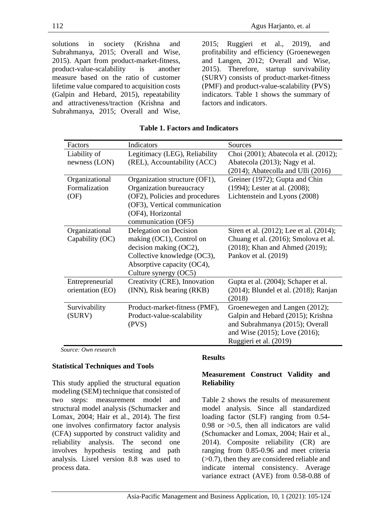solutions in society (Krishna and Subrahmanya, 2015; Overall and Wise, 2015). Apart from product-market-fitness, product-value-scalability is another measure based on the ratio of customer lifetime value compared to acquisition costs (Galpin and Hebard, 2015), repeatability and attractiveness/traction (Krishna and Subrahmanya, 2015; Overall and Wise,

2015; Ruggieri et al., 2019), and profitability and efficiency (Groenewegen and Langen, 2012; Overall and Wise, 2015). Therefore, startup survivability (SURV) consists of product-market-fitness (PMF) and product-value-scalability (PVS) indicators. Table 1 shows the summary of factors and indicators.

| Factors          | Indicators                     | Sources                                     |
|------------------|--------------------------------|---------------------------------------------|
| Liability of     | Legitimacy (LEG), Reliability  | Choi (2001); Abatecola et al. (2012);       |
| newness (LON)    | (REL), Accountability (ACC)    | Abatecola (2013); Nagy et al.               |
|                  |                                | (2014); Abatecolla and Ulli (2016)          |
| Organizational   | Organization structure (OF1),  | Greiner (1972); Gupta and Chin              |
| Formalization    | Organization bureaucracy       | (1994); Lester at al. (2008);               |
| (OF)             | (OF2), Policies and procedures | Lichtenstein and Lyons (2008)               |
|                  | (OF3), Vertical communication  |                                             |
|                  | (OF4), Horizontal              |                                             |
|                  | communication (OF5)            |                                             |
| Organizational   | Delegation on Decision         | Siren et al. (2012); Lee et al. (2014);     |
| Capability (OC)  | making (OC1), Control on       | Chuang et al. (2016); Smolova et al.        |
|                  | decision making (OC2),         | (2018); Khan and Ahmed (2019);              |
|                  | Collective knowledge (OC3),    | Pankov et al. (2019)                        |
|                  | Absorptive capacity (OC4),     |                                             |
|                  | Culture synergy (OC5)          |                                             |
| Entrepreneurial  | Creativity (CRE), Innovation   | Gupta et al. (2004); Schaper et al.         |
| orientation (EO) | (INN), Risk bearing (RKB)      | $(2014)$ ; Blundel et al. $(2018)$ ; Ranjan |
|                  |                                | (2018)                                      |
| Survivability    | Product-market-fitness (PMF),  | Groenewegen and Langen (2012);              |
| (SURV)           | Product-value-scalability      | Galpin and Hebard (2015); Krishna           |
|                  | (PVS)                          | and Subrahmanya (2015); Overall             |
|                  |                                | and Wise (2015); Love (2016);               |
|                  |                                | Ruggieri et al. (2019)                      |

## **Table 1. Factors and Indicators**

*Source: Own research*

## **Statistical Techniques and Tools**

This study applied the structural equation modeling (SEM) technique that consisted of two steps: measurement model and structural model analysis (Schumacker and Lomax, 2004; Hair et al., 2014). The first one involves confirmatory factor analysis (CFA) supported by construct validity and reliability analysis. The second one involves hypothesis testing and path analysis. Lisrel version 8.8 was used to process data.

# **Results**

## **Measurement Construct Validity and Reliability**

Table 2 shows the results of measurement model analysis. Since all standardized loading factor (SLF) ranging from 0.54- 0.98 or  $>0.5$ , then all indicators are valid (Schumacker and Lomax, 2004; Hair et al., 2014). Composite reliability (CR) are ranging from 0.85-0.96 and meet criteria (>0.7), then they are considered reliable and indicate internal consistency. Average variance extract (AVE) from 0.58-0.88 of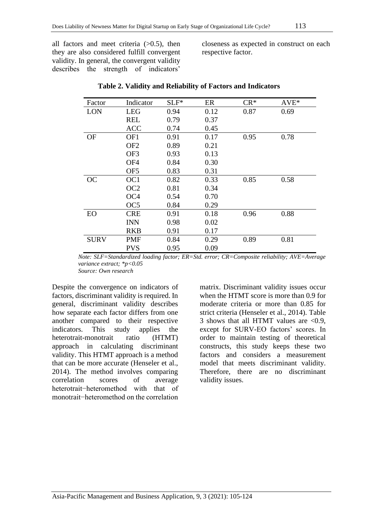all factors and meet criteria  $(>0.5)$ , then they are also considered fulfill convergent validity. In general, the convergent validity describes the strength of indicators'

closeness as expected in construct on each respective factor.

| Factor      | Indicator       | $SLF^*$ | ER   | $CR*$ | $AVE^*$ |
|-------------|-----------------|---------|------|-------|---------|
| <b>LON</b>  | <b>LEG</b>      | 0.94    | 0.12 | 0.87  | 0.69    |
|             | <b>REL</b>      | 0.79    | 0.37 |       |         |
|             | <b>ACC</b>      | 0.74    | 0.45 |       |         |
| <b>OF</b>   | OF1             | 0.91    | 0.17 | 0.95  | 0.78    |
|             | OF <sub>2</sub> | 0.89    | 0.21 |       |         |
|             | OF3             | 0.93    | 0.13 |       |         |
|             | OF <sub>4</sub> | 0.84    | 0.30 |       |         |
|             | OF <sub>5</sub> | 0.83    | 0.31 |       |         |
| <b>OC</b>   | OC <sub>1</sub> | 0.82    | 0.33 | 0.85  | 0.58    |
|             | OC <sub>2</sub> | 0.81    | 0.34 |       |         |
|             | OC <sub>4</sub> | 0.54    | 0.70 |       |         |
|             | OC <sub>5</sub> | 0.84    | 0.29 |       |         |
| EO          | <b>CRE</b>      | 0.91    | 0.18 | 0.96  | 0.88    |
|             | <b>INN</b>      | 0.98    | 0.02 |       |         |
|             | <b>RKB</b>      | 0.91    | 0.17 |       |         |
| <b>SURV</b> | PMF             | 0.84    | 0.29 | 0.89  | 0.81    |
|             | <b>PVS</b>      | 0.95    | 0.09 |       |         |

**Table 2. Validity and Reliability of Factors and Indicators**

*Note: SLF=Standardized loading factor; ER=Std. error; CR=Composite reliability; AVE=Average variance extract; \*p<0.05 Source: Own research*

Despite the convergence on indicators of factors, discriminant validity is required. In general, discriminant validity describes how separate each factor differs from one another compared to their respective indicators. This study applies the heterotrait-monotrait ratio (HTMT) approach in calculating discriminant validity. This HTMT approach is a method that can be more accurate (Henseler et al., 2014). The method involves comparing correlation scores of average heterotrait−heteromethod with that of monotrait−heteromethod on the correlation matrix. Discriminant validity issues occur when the HTMT score is more than 0.9 for moderate criteria or more than 0.85 for strict criteria (Henseler et al., 2014). Table 3 shows that all HTMT values are  $< 0.9$ , except for SURV-EO factors' scores. In order to maintain testing of theoretical constructs, this study keeps these two factors and considers a measurement model that meets discriminant validity. Therefore, there are no discriminant validity issues.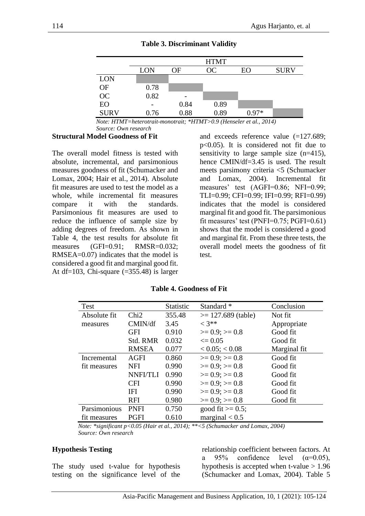|             | <b>HTMT</b> |      |      |       |             |  |
|-------------|-------------|------|------|-------|-------------|--|
|             | <b>LON</b>  | ОF   | OC   | EΟ    | <b>SURV</b> |  |
| <b>LON</b>  |             |      |      |       |             |  |
| OF          | 0.78        |      |      |       |             |  |
| OC          | 0.82        |      |      |       |             |  |
| EO          |             | 0.84 | 0.89 |       |             |  |
| <b>SURV</b> | 0.76        | 0.88 | 0.89 | በ 97* |             |  |

**Table 3. Discriminant Validity**

*Note: HTMT=heterotrait-monotrait; \*HTMT>0.9 (Henseler et al., 2014) Source: Own research*

#### **Structural Model Goodness of Fit**

The overall model fitness is tested with absolute, incremental, and parsimonious measures goodness of fit (Schumacker and Lomax, 2004; Hair et al., 2014). Absolute fit measures are used to test the model as a whole, while incremental fit measures compare it with the standards. Parsimonious fit measures are used to reduce the influence of sample size by adding degrees of freedom. As shown in Table 4, the test results for absolute fit measures (GFI=0.91; RMSR=0.032; RMSEA=0.07) indicates that the model is considered a good fit and marginal good fit. At df=103, Chi-square  $(=355.48)$  is larger

and exceeds reference value (=127.689; p<0.05). It is considered not fit due to sensitivity to large sample size (n=415), hence CMIN/df=3.45 is used. The result meets parsimony criteria <5 (Schumacker and Lomax, 2004). Incremental fit measures' test (AGFI=0.86; NFI=0.99; TLI=0.99; CFI=0.99; IFI=0.99; RFI=0.99) indicates that the model is considered marginal fit and good fit. The parsimonious fit measures' test (PNFI=0.75; PGFI=0.61) shows that the model is considered a good and marginal fit. From these three tests, the overall model meets the goodness of fit test.

| <b>Test</b>  |                 | Statistic | Standard *            | Conclusion   |
|--------------|-----------------|-----------|-----------------------|--------------|
| Absolute fit | Chi2            | 355.48    | $\ge$ 127.689 (table) | Not fit      |
| measures     | CMIN/df         | 3.45      | $< 3**$               | Appropriate  |
|              | GFI             | 0.910     | $>= 0.9$ ; $>= 0.8$   | Good fit     |
|              | Std. RMR        | 0.032     | $\leq 0.05$           | Good fit     |
|              | <b>RMSEA</b>    | 0.077     | $< 0.05$ ; $< 0.08$   | Marginal fit |
| Incremental  | <b>AGFI</b>     | 0.860     | $>= 0.9$ ; $>= 0.8$   | Good fit     |
| fit measures | <b>NFI</b>      | 0.990     | $>= 0.9$ ; $>= 0.8$   | Good fit     |
|              | <b>NNFI/TLI</b> | 0.990     | $>= 0.9$ ; $>= 0.8$   | Good fit     |
|              | <b>CFI</b>      | 0.990     | $>= 0.9$ ; $>= 0.8$   | Good fit     |
|              | IFI             | 0.990     | $>= 0.9$ ; $>= 0.8$   | Good fit     |
|              | <b>RFI</b>      | 0.980     | $>= 0.9$ ; $>= 0.8$   | Good fit     |
| Parsimonious | <b>PNFI</b>     | 0.750     | good fit $\ge$ 0.5;   |              |
| fit measures | <b>PGFI</b>     | 0.610     | marginal $< 0.5$      |              |

**Table 4. Goodness of Fit**

*Note: \*significant p<0.05 (Hair et al., 2014); \*\*<5 (Schumacker and Lomax, 2004) Source: Own research*

### **Hypothesis Testing**

The study used t-value for hypothesis testing on the significance level of the

relationship coefficient between factors. At a 95% confidence level  $(\alpha=0.05)$ , hypothesis is accepted when t-value  $> 1.96$ (Schumacker and Lomax, 2004). Table 5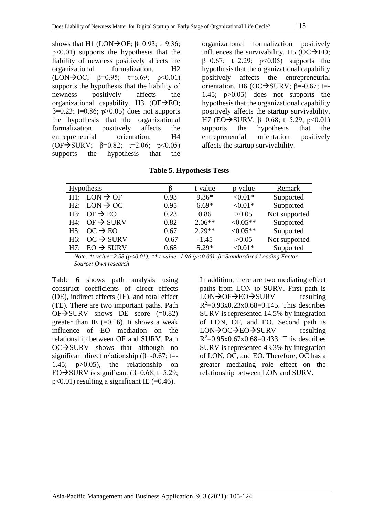shows that H1 (LON $\rightarrow$ OF;  $\beta$ =0.93; t=9.36; p<0.01) supports the hypothesis that the liability of newness positively affects the organizational formalization. H2 (LON $\rightarrow$ OC;  $\beta$ =0.95; t=6.69; p<0.01) supports the hypothesis that the liability of newness positively affects the organizational capability. H3  $(OF\rightarrow)EO;$  $β=0.23$ ; t=0.86; p>0.05) does not supports the hypothesis that the organizational formalization positively affects the entrepreneurial orientation. H4  $(OF\rightarrow SURV: \; \beta=0.82; \; t=2.06; \; \text{p} < 0.05)$ supports the hypothesis that the

organizational formalization positively influences the survivability. H5 ( $OC \rightarrow EO$ ;  $β=0.67$ ; t=2.29; p<0.05) supports the hypothesis that the organizational capability positively affects the entrepreneurial orientation. H6 (OC $\rightarrow$ SURV; β=-0.67; t=-1.45; p>0.05) does not supports the hypothesis that the organizational capability positively affects the startup survivability. H7 (EO $\rightarrow$ SURV; β=0.68; t=5.29; p<0.01) supports the hypothesis that the entrepreneurial orientation positively affects the startup survivability.

**Table 5. Hypothesis Tests**

| Hypothesis |                              |         | t-value  | p-value    | Remark        |
|------------|------------------------------|---------|----------|------------|---------------|
|            | $H1: LON \rightarrow OF$     | 0.93    | $9.36*$  | $< 0.01*$  | Supported     |
|            | H2: $LON \rightarrow OC$     | 0.95    | $6.69*$  | $< 0.01*$  | Supported     |
| H3:        | $OF \rightarrow EO$          | 0.23    | 0.86     | >0.05      | Not supported |
|            | $H4$ : OF $\rightarrow$ SURV | 0.82    | $2.06**$ | $< 0.05**$ | Supported     |
|            | $H5: OC \rightarrow EO$      | 0.67    | $2.29**$ | $< 0.05**$ | Supported     |
|            | H6: OC $\rightarrow$ SURV    | $-0.67$ | $-1.45$  | >0.05      | Not supported |
| H7:        | $EO \rightarrow SURV$        | 0.68    | $5.29*$  | $< 0.01*$  | Supported     |

*Note: \*t-value=2.58 (p<0.01); \*\* t-value=1.96 (p<0.05); β=Standardized Loading Factor Source: Own research*

Table 6 shows path analysis using construct coefficients of direct effects (DE), indirect effects (IE), and total effect (TE). There are two important paths. Path  $OF\rightarrow$ SURV shows DE score (=0.82) greater than IE  $(=0.16)$ . It shows a weak influence of EO mediation on the relationship between OF and SURV. Path OC→SURV shows that although no significant direct relationship ( $\beta$ =-0.67; t=-1.45; p>0.05), the relationship on EO $\rightarrow$ SURV is significant ( $\beta$ =0.68; t=5.29;  $p<0.01$ ) resulting a significant IE (=0.46).

In addition, there are two mediating effect paths from LON to SURV. First path is LON→OF→EO→SURV resulting  $R^2 = 0.93x0.23x0.68 = 0.145$ . This describes SURV is represented 14.5% by integration of LON, OF, and EO. Second path is LON→OC→EO→SURV resulting  $R^2 = 0.95x0.67x0.68 = 0.433$ . This describes SURV is represented 43.3% by integration of LON, OC, and EO. Therefore, OC has a greater mediating role effect on the relationship between LON and SURV.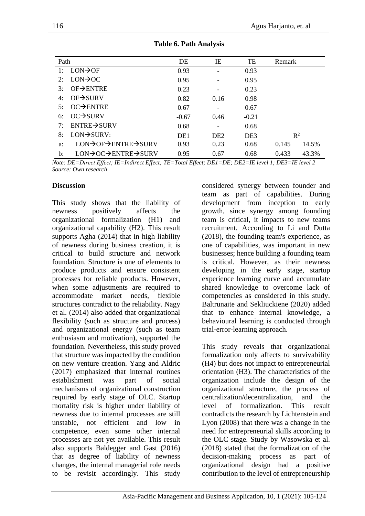| Path                        |                          | DE              | IE              | TE              | Remark         |       |
|-----------------------------|--------------------------|-----------------|-----------------|-----------------|----------------|-------|
| 1:                          | $LON \rightarrow OF$     | 0.93            | -               | 0.93            |                |       |
| 2:                          | $LON \rightarrow OC$     | 0.95            |                 | 0.95            |                |       |
| 3:                          | $OF\rightarrow ENTRE$    | 0.23            | -               | 0.23            |                |       |
| $OF \rightarrow SURV$<br>4: |                          | 0.82            | 0.16            | 0.98            |                |       |
| 5:                          | $OC\rightarrow$ ENTRE    | 0.67            |                 | 0.67            |                |       |
| 6:                          | $OC \rightarrow SURV$    | $-0.67$         | 0.46            | $-0.21$         |                |       |
| 7:                          | $ENTRE \rightarrow SURV$ | 0.68            |                 | 0.68            |                |       |
| 8:                          | $LON \rightarrow SURV:$  | DE <sub>1</sub> | DE <sub>2</sub> | DE <sub>3</sub> | $\mathbb{R}^2$ |       |
| a:                          | LON→OF→ENTRE→SURV        | 0.93            | 0.23            | 0.68            | 0.145          | 14.5% |
| $\mathbf{b}$ :              | LON→OC→ENTRE→SURV        | 0.95            | 0.67            | 0.68            | 0.433          | 43.3% |

**Table 6. Path Analysis**

*Note: DE=Dırect Effect; IE=Indirect Effect; TE=Total Effect; DE1=DE; DE2=IE level 1; DE3=IE level 2 Source: Own research*

### **Discussion**

This study shows that the liability of newness positively affects the organizational formalization (H1) and organizational capability (H2). This result supports Agha (2014) that in high liability of newness during business creation, it is critical to build structure and network foundation. Structure is one of elements to produce products and ensure consistent processes for reliable products. However, when some adjustments are required to accommodate market needs, flexible structures contradict to the reliability. Nagy et al. (2014) also added that organizational flexibility (such as structure and process) and organizational energy (such as team enthusiasm and motivation), supported the foundation. Nevertheless, this study proved that structure was impacted by the condition on new venture creation. Yang and Aldric (2017) emphasized that internal routines establishment was part of social mechanisms of organizational construction required by early stage of OLC. Startup mortality risk is higher under liability of newness due to internal processes are still unstable, not efficient and low in competence, even some other internal processes are not yet available. This result also supports Baldegger and Gast (2016) that as degree of liability of newness changes, the internal managerial role needs to be revisit accordingly. This study considered synergy between founder and team as part of capabilities. During development from inception to early growth, since synergy among founding team is critical, it impacts to new teams recruitment. According to Li and Dutta (2018), the founding team's experience, as one of capabilities, was important in new businesses; hence building a founding team is critical. However, as their newness developing in the early stage, startup experience learning curve and accumulate shared knowledge to overcome lack of competencies as considered in this study. Baltrunaite and Sekliuckiene (2020) added that to enhance internal knowledge, a behavioural learning is conducted through trial-error-learning approach.

This study reveals that organizational formalization only affects to survivability (H4) but does not impact to entrepreneurial orientation (H3). The characteristics of the organization include the design of the organizational structure, the process of centralization/decentralization, and the level of formalization. This result contradicts the research by Lichtenstein and Lyon (2008) that there was a change in the need for entrepreneurial skills according to the OLC stage. Study by Wasowska et al. (2018) stated that the formalization of the decision-making process as part of organizational design had a positive contribution to the level of entrepreneurship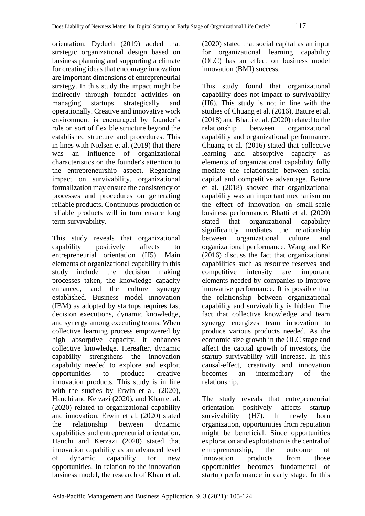orientation. Dyduch (2019) added that strategic organizational design based on business planning and supporting a climate for creating ideas that encourage innovation are important dimensions of entrepreneurial strategy. In this study the impact might be indirectly through founder activities on managing startups strategically and operationally. Creative and innovative work environment is encouraged by founder's role on sort of flexible structure beyond the established structure and procedures. This in lines with Nielsen et al. (2019) that there was an influence of organizational characteristics on the founder's attention to the entrepreneurship aspect. Regarding impact on survivability, organizational formalization may ensure the consistency of processes and procedures on generating reliable products. Continuous production of reliable products will in turn ensure long term survivability.

This study reveals that organizational capability positively affects to entrepreneurial orientation (H5). Main elements of organizational capability in this study include the decision making processes taken, the knowledge capacity enhanced, and the culture synergy established. Business model innovation (IBM) as adopted by startups requires fast decision executions, dynamic knowledge, and synergy among executing teams. When collective learning process empowered by high absorptive capacity, it enhances collective knowledge. Hereafter, dynamic capability strengthens the innovation capability needed to explore and exploit opportunities to produce creative innovation products. This study is in line with the studies by Erwin et al. (2020), Hanchi and Kerzazi (2020), and Khan et al. (2020) related to organizational capability and innovation. Erwin et al. (2020) stated the relationship between dynamic capabilities and entrepreneurial orientation. Hanchi and Kerzazi (2020) stated that innovation capability as an advanced level of dynamic capability for new opportunities. In relation to the innovation business model, the research of Khan et al.

(2020) stated that social capital as an input for organizational learning capability (OLC) has an effect on business model innovation (BMI) success.

This study found that organizational capability does not impact to survivability (H6). This study is not in line with the studies of Chuang et al. (2016), Bature et al. (2018) and Bhatti et al. (2020) related to the relationship between organizational capability and organizational performance. Chuang et al. (2016) stated that collective learning and absorptive capacity as elements of organizational capability fully mediate the relationship between social capital and competitive advantage. Bature et al. (2018) showed that organizational capability was an important mechanism on the effect of innovation on small-scale business performance. Bhatti et al. (2020) stated that organizational capability significantly mediates the relationship between organizational culture and organizational performance. Wang and Ke (2016) discuss the fact that organizational capabilities such as resource reserves and competitive intensity are important elements needed by companies to improve innovative performance. It is possible that the relationship between organizational capability and survivability is hidden. The fact that collective knowledge and team synergy energizes team innovation to produce various products needed. As the economic size growth in the OLC stage and affect the capital growth of investors, the startup survivability will increase. In this causal-effect, creativity and innovation becomes an intermediary of the relationship.

The study reveals that entrepreneurial orientation positively affects startup survivability (H7). In newly born organization, opportunities from reputation might be beneficial. Since opportunities exploration and exploitation is the central of entrepreneurship, the outcome of innovation products from those opportunities becomes fundamental of startup performance in early stage. In this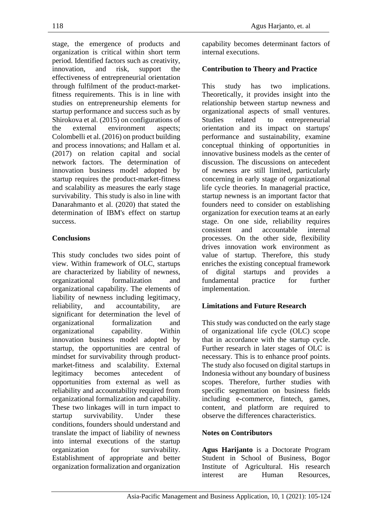stage, the emergence of products and organization is critical within short term period. Identified factors such as creativity, innovation, and risk, support the effectiveness of entrepreneurial orientation through fulfilment of the product-marketfitness requirements. This is in line with studies on entrepreneurship elements for startup performance and success such as by Shirokova et al. (2015) on configurations of the external environment aspects; Colombelli et al. (2016) on product building and process innovations; and Hallam et al. (2017) on relation capital and social network factors. The determination of innovation business model adopted by startup requires the product-market-fitness and scalability as measures the early stage survivability. This study is also in line with Danarahmanto et al. (2020) that stated the determination of IBM's effect on startup success.

# **Conclusions**

This study concludes two sides point of view. Within framework of OLC, startups are characterized by liability of newness, organizational formalization and organizational capability. The elements of liability of newness including legitimacy, reliability, and accountability, are significant for determination the level of organizational formalization and organizational capability. Within innovation business model adopted by startup, the opportunities are central of mindset for survivability through productmarket-fitness and scalability. External legitimacy becomes antecedent of opportunities from external as well as reliability and accountability required from organizational formalization and capability. These two linkages will in turn impact to startup survivability. Under these conditions, founders should understand and translate the impact of liability of newness into internal executions of the startup organization for survivability. Establishment of appropriate and better organization formalization and organization capability becomes determinant factors of internal executions.

# **Contribution to Theory and Practice**

This study has two implications. Theoretically, it provides insight into the relationship between startup newness and organizational aspects of small ventures. Studies related to entrepreneurial orientation and its impact on startups' performance and sustainability, examine conceptual thinking of opportunities in innovative business models as the center of discussion. The discussions on antecedent of newness are still limited, particularly concerning in early stage of organizational life cycle theories. In managerial practice, startup newness is an important factor that founders need to consider on establishing organization for execution teams at an early stage. On one side, reliability requires consistent and accountable internal processes. On the other side, flexibility drives innovation work environment as value of startup. Therefore, this study enriches the existing conceptual framework of digital startups and provides a fundamental practice for further implementation.

# **Limitations and Future Research**

This study was conducted on the early stage of organizational life cycle (OLC) scope that in accordance with the startup cycle. Further research in later stages of OLC is necessary. This is to enhance proof points. The study also focused on digital startups in Indonesia without any boundary of business scopes. Therefore, further studies with specific segmentation on business fields including e-commerce, fintech, games, content, and platform are required to observe the differences characteristics.

## **Notes on Contributors**

**Agus Harijanto** is a Doctorate Program Student in School of Business, Bogor Institute of Agricultural. His research interest are Human Resources,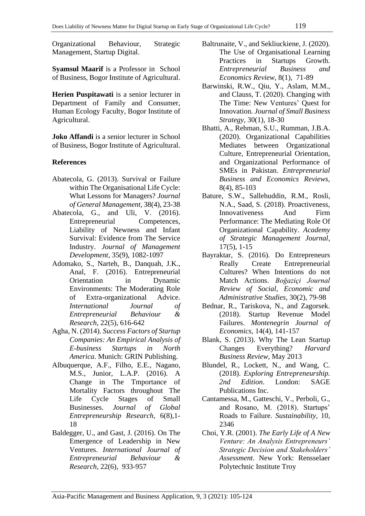Organizational Behaviour, Strategic Management, Startup Digital.

**Syamsul Maarif** is a Professor in School of Business, Bogor Institute of Agricultural.

**Herien Puspitawati** is a senior lecturer in Department of Family and Consumer, Human Ecology Faculty, Bogor Institute of Agricultural.

**Joko Affandi** is a senior lecturer in School of Business, Bogor Institute of Agricultural.

## **References**

- Abatecola, G. (2013). Survival or Failure within The Organisational Life Cycle: What Lessons for Managers? *Journal of General Management*, 38(4), 23-38
- Abatecola, G., and Uli, V. (2016). Entrepreneurial Competences, Liability of Newness and Infant Survival: Evidence from The Service Industry. *Journal of Management Development*, 35(9), 1082-1097
- Adomako, S., Narteh, B., Danquah, J.K., Anal, F. (2016). Entrepreneurial Orientation in Dynamic Environments: The Moderating Role of Extra-organizational Advice. *International Journal of Entrepreneurial Behaviour & Research*, 22(5), 616-642
- Agha, N. (2014). *Success Factors of Startup Companies: An Empirical Analysis of E-business Startups in North America*. Munich: GRIN Publishing.
- Albuquerque, A.F., Filho, E.E., Nagano, M.S., Junior, L.A.P. (2016). A Change in The Tmportance of Mortality Factors throughout The Life Cycle Stages of Small Businesses. *Journal of Global Entrepreneurship Research*, 6(8),1- 18
- Baldegger, U., and Gast, J. (2016). On The Emergence of Leadership in New Ventures. *International Journal of Entrepreneurial Behaviour & Research*, 22(6), 933-957
- Baltrunaite, V., and Sekliuckiene, J. (2020). The Use of Organisational Learning Practices in Startups Growth. *Entrepreneurial Business and Economics Review*, 8(1), 71-89
- Barwinski, R.W., Qiu, Y., Aslam, M.M., and Clauss, T. (2020). Changing with The Time: New Ventures' Quest for Innovation. *Journal of Small Business Strategy*, 30(1), 18-30
- Bhatti, A., Rehman, S.U., Rumman, J.B.A. (2020). Organizational Capabilities Mediates between Organizational Culture, Entrepreneurial Orientation, and Organizational Performance of SMEs in Pakistan. *Entrepreneurial Business and Economics Reviews*, 8(4), 85-103
- Bature, S.W., Sallehuddin, R.M., Rosli, N.A., Saad, S. (2018). Proactiveness, Innovativeness And Firm Performance: The Mediating Role Of Organizational Capability. *Academy of Strategic Management Journal*, 17(5), 1-15
- Bayraktar, S. (2016). Do Entrepreneurs Really Create Entrepreneurial Cultures? When Intentions do not Match Actions. *Boğaziçi Journal Review of Social, Economic and Administrative Studies*, 30(2), 79-98
- Bednar, R., Tariskova, N., and Zagorsek. (2018). Startup Revenue Model Failures. *Montenegrin Journal of Economics*, 14(4), 141-157
- Blank, S. (2013). Why The Lean Startup Changes Everything? *Harvard Business Review*, May 2013
- Blundel, R., Lockett, N., and Wang, C. (2018). *Exploring Entrepreneurship. 2nd Edition*. London: SAGE Publications Inc.
- Cantamessa, M., Gatteschi, V., Perboli, G., and Rosano, M. (2018). Startups' Roads to Failure. *Sustainability*, 10, 2346
- Choi, Y.R. (2001). *The Early Life of A New Venture: An Analysis Entrepreneurs' Strategic Decision and Stakeholders' Assessment*. New York: Rensselaer Polytechnic Institute Troy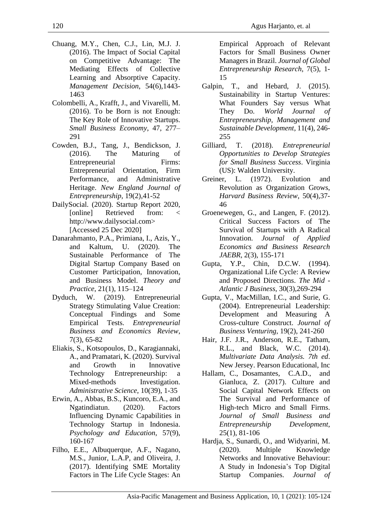- Chuang, M.Y., Chen, C.J., Lin, M.J. J. (2016). The Impact of Social Capital on Competitive Advantage: The Mediating Effects of Collective Learning and Absorptive Capacity. *Management Decision*, 54(6),1443- 1463
- Colombelli, A., Krafft, J., and Vivarelli, M. (2016). To be Born is not Enough: The Key Role of Innovative Startups. *Small Business Economy*, 47, 277– 291
- Cowden, B.J., Tang, J., Bendickson, J. (2016). The Maturing of Entrepreneurial Firms: Entrepreneurial Orientation, Firm Performance, and Administrative Heritage. *New England Journal of Entrepreneurship*, 19(2),41-52
- DailySocial. (2020). Startup Report 2020, [online] Retrieved from: < http://www.dailysocial.com> [Accessed 25 Dec 2020]
- Danarahmanto, P.A., Primiana, I., Azis, Y., and Kaltum, U. (2020). The Sustainable Performance of The Digital Startup Company Based on Customer Participation, Innovation, and Business Model. *Theory and Practice*, 21(1), 115–124
- Dyduch, W. (2019). Entrepreneurial Strategy Stimulating Value Creation: Conceptual Findings and Some Empirical Tests. *Entrepreneurial Business and Economics Review*, 7(3), 65-82
- Eliakis, S., Kotsopoulos, D., Karagiannaki, A., and Pramatari, K. (2020). Survival and Growth in Innovative Technology Entrepreneurship: a Mixed-methods Investigation. *Administrative Science*, 10(39), 1-35
- Erwin, A., Abbas, B.S., Kuncoro, E.A., and Ngatindiatun. (2020). Factors Influencing Dynamic Capabilities in Technology Startup in Indonesia. *Psychology and Education*, 57(9), 160-167
- Filho, E.E., Albuquerque, A.F., Nagano, M.S., Junior, L.A.P, and Oliveira, J. (2017). Identifying SME Mortality Factors in The Life Cycle Stages: An

Empirical Approach of Relevant Factors for Small Business Owner Managers in Brazil. *Journal of Global Entrepreneurship Research*, 7(5), 1- 15

- Galpin, T., and Hebard, J. (2015). Sustainability in Startup Ventures: What Founders Say versus What They Do. *World Journal of Entrepreneurship, Management and Sustainable Development*, 11(4), 246- 255
- Gilliard, T. (2018). *Entrepreneurial Opportunities to Develop Strategies for Small Business Success*. Virginia (US): Walden University.
- Greiner, L. (1972). Evolution and Revolution as Organization Grows, *Harvard Business Review*, 50(4),37- 46
- Groenewegen, G., and Langen, F. (2012). Critical Success Factors of The Survival of Startups with A Radical Innovation. *Journal of Applied Economics and Business Research JAEBR*, 2(3), 155-171
- Gupta, Y.P., Chin, D.C.W. (1994). Organizational Life Cycle: A Review and Proposed Directions. *The Mid - Atlantic J Business*, 30(3),269-294
- Gupta, V., MacMillan, I.C., and Surie, G. (2004). Entrepreneurial Leadership: Development and Measuring A Cross-culture Construct. *Journal of Business Venturing*, 19(2), 241-260
- Hair, J.F. J.R., Anderson, R.E., Tatham, R.L., and Black, W.C. (2014). *Multivariate Data Analysis. 7th ed*. New Jersey. Pearson Educational, Inc
- Hallam, C., Dosamantes, C.A.D., and Gianluca, Z. (2017). Culture and Social Capital Network Effects on The Survival and Performance of High-tech Micro and Small Firms. *Journal of Small Business and Entrepreneurship Development*, 25(1), 81-106
- Hardja, S., Sunardi, O., and Widyarini, M. (2020). Multiple Knowledge Networks and Innovative Behaviour: A Study in Indonesia's Top Digital Startup Companies. *Journal of*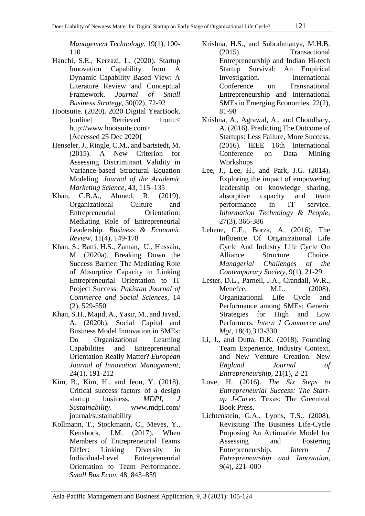*Management Technology*, 19(1), 100- 110

- Hanchi, S.E., Kerzazi, L. (2020). Startup Innovation Capability from A Dynamic Capability Based View: A Literature Review and Conceptual Framework. *Journal of Small Business Strategy*, 30(02), 72-92
- Hootsuite. (2020). 2020 Digital YearBook, [online] Retrieved from:< http://www.hootsuite.com> [Accessed 25 Dec 2020]
- Henseler, J., Ringle, C.M., and Sartstedt, M. (2015). A New Criterion for Assessing Discriminant Validity in Variance-based Structural Equation Modeling. *Journal of the Academic Marketing Science*, 43, 115–135
- Khan, C.B.A., Ahmed, R. (2019). Organizational Culture and Entrepreneurial Orientation: Mediating Role of Entrepreneurial Leadership. *Business & Economic Review*, 11(4), 149-178
- Khan, S., Batti, H.S., Zaman, U., Hussain, M. (2020a). Breaking Down the Success Barrier: The Mediating Role of Absorptive Capacity in Linking Entrepreneurial Orientation to IT Project Success. *Pakistan Journal of Commerce and Social Sciences*, 14 (2), 529-550
- Khan, S.H., Majid, A., Yasir, M., and Javed, A. (2020b). Social Capital and Business Model Innovation in SMEs: Do Organizational Learning Capabilities and Entrepreneurial Orientation Really Matter? *European Journal of Innovation Management*, 24(1), 191-212
- Kim, B., Kim, H., and Jeon, Y. (2018). Critical success factors of a design startup business. *MDPI, J Sustainability*. [www.mdpi.com/](http://www.mdpi.com/%20journal/)  [journal/s](http://www.mdpi.com/%20journal/)ustainability
- Kollmann, T., Stockmann, C., Meves, Y., Kensbock, J.M. (2017). When Members of Entrepreneurial Teams Differ: Linking Diversity in Individual-Level Entrepreneurial Orientation to Team Performance. *Small Bus Econ*, 48, 843–859
- Krishna, H.S., and Subrahmanya, M.H.B. (2015). Transactional Entrepreneurship and Indian Hi-tech Startup Survival: An Empirical Investigation. International Conference on Transnational Entrepreneurship and International SMEs in Emerging Economies, 22(2), 81-98
- Krishna, A., Agrawal, A., and Choudhary, A. (2016). Predicting The Outcome of Startups: Less Failure, More Success. (2016). IEEE 16th International Conference on Data Mining Workshops
- Lee, J., Lee, H., and Park, J.G. (2014). Exploring the impact of empowering leadership on knowledge sharing, absorptive capacity and team performance in IT service. *Information Technology & People*, 27(3), 366-386
- Lehene, C.F., Borza, A. (2016). The Influence Of Organizational Life Cycle And Industry Life Cycle On Alliance Structure Choice. *Managerial Challenges of the Contemporary Society*, 9(1), 21-29
- Lester, D.L., Parnell, J.A., Crandall, W.R., Menefee, M.L. (2008). Organizational Life Cycle and Performance among SMEs: Generic Strategies for High and Low Performers. *Intern J Commerce and Mgt*, 18(4),313-330
- Li, J., and Dutta, D.K. (2018). Founding Team Experience, Industry Context, and New Venture Creation. New *England Journal of Entrepreneurship*, 21(1), 2-21
- Love, H. (2016). *The Six Steps to Entrepreneurial Success: The Startup J-Curve*. Texas: The Greenleaf Book Press.
- Lichtenstein, G.A., Lyons, T.S.. (2008). Revisiting The Business Life-Cycle Proposing An Actionable Model for Assessing and Fostering Entrepreneurship. *Intern J Entrepreneurship and Innovation*, 9(4), 221–000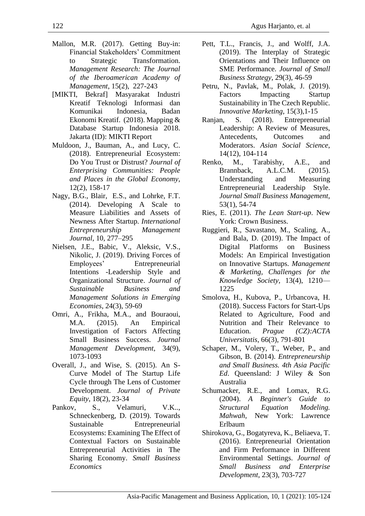- Mallon, M.R. (2017). Getting Buy-in: Financial Stakeholders' Commitment to Strategic Transformation. *Management Research: The Journal of the Iberoamerican Academy of Management*, 15(2), 227-243
- [MIKTI, Bekraf] Masyarakat Industri Kreatif Teknologi Informasi dan Komunikai Indonesia, Badan Ekonomi Kreatif. (2018). Mapping & Database Startup Indonesia 2018. Jakarta (ID): MIKTI Report
- Muldoon, J., Bauman, A., and Lucy, C. (2018). Entrepreneurial Ecosystem: Do You Trust or Distrust? *Journal of Enterprising Communities: People and Places in the Global Economy*, 12(2), 158-17
- Nagy, B.G., Blair, E.S., and Lohrke, F.T. (2014). Developing A Scale to Measure Liabilities and Assets of Newness After Startup. *International Entrepreneurship Management Journal*, 10, 277–295
- Nielsen, J.E., Babic, V., Aleksic, V.S., Nikolic, J. (2019). Driving Forces of Employees' Entrepreneurial Intentions -Leadership Style and Organizational Structure. *Journal of Sustainable Business and Management Solutions in Emerging Economies*, 24(3), 59-69
- Omri, A., Frikha, M.A., and Bouraoui, M.A. (2015). An Empirical Investigation of Factors Affecting Small Business Success. *Journal Management Development*, 34(9), 1073-1093
- Overall, J., and Wise, S. (2015). An S-Curve Model of The Startup Life Cycle through The Lens of Customer Development. *Journal of Private Equity*, 18(2), 23-34
- Pankov, S., Velamuri, V.K.., Schneckenberg, D. (2019). Towards Sustainable Entrepreneurial Ecosystems: Examining The Effect of Contextual Factors on Sustainable Entrepreneurial Activities in The Sharing Economy. *Small Business Economics*
- Pett, T.L., Francis, J., and Wolff, J.A. (2019). The Interplay of Strategic Orientations and Their Influence on SME Performance. *Journal of Small Business Strategy*, 29(3), 46-59
- Petru, N., Pavlak, M., Polak, J. (2019). Factors Impacting Startup Sustainability in The Czech Republic. *Innovative Marketing*, 15(3),1-15
- Ranjan, S. (2018). Entrepreneurial Leadership: A Review of Measures, Antecedents, Outcomes and Moderators. *Asian Social Science*, 14(12), 104-114
- Renko, M., Tarabishy, A.E., and Brannback, A.L.C.M. (2015). Understanding and Measuring Entrepreneurial Leadership Style. *Journal Small Business Management*, 53(1), 54-74
- Ries, E. (2011). *The Lean Start-up*. New York: Crown Business.
- Ruggieri, R., Savastano, M., Scaling, A., and Bala, D. (2019). The Impact of Digital Platforms on Business Models: An Empirical Investigation on Innovative Startups. *Management & Marketing, Challenges for the Knowledge Society*, 13(4), 1210— 1225
- Smolova, H., Kubova, P., Urbancova, H. (2018). Success Factors for Start-Ups Related to Agriculture, Food and Nutrition and Their Relevance to Education. *Prague (CZ):ACTA Universitatis*, 66(3), 791-801
- Schaper, M., Volery, T., Weber, P., and Gibson, B. (2014). *Entrepreneurship and Small Business. 4th Asia Pacific Ed*. Queensland: J Wiley & Son Australia
- Schumacker, R.E., and Lomax, R.G. (2004). *A Beginner's Guide to Structural Equation Modeling. Mahwah*, New York: Lawrence Erlbaum
- Shirokova, G., Bogatyreva, K., Beliaeva, T. (2016). Entrepreneurial Orientation and Firm Performance in Different Environmental Settings. *Journal of Small Business and Enterprise Development*, 23(3), 703-727